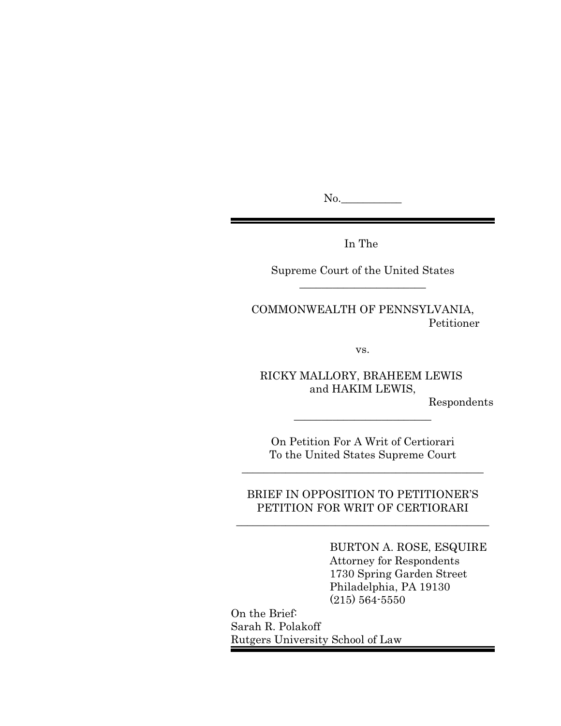No.

In The

Supreme Court of the United States  $\overline{\phantom{a}}$  , where  $\overline{\phantom{a}}$  , where  $\overline{\phantom{a}}$  , where  $\overline{\phantom{a}}$ 

COMMONWEALTH OF PENNSYLVANIA, Petitioner

vs.

RICKY MALLORY, BRAHEEM LEWIS and HAKIM LEWIS,

Respondents

On Petition For A Writ of Certiorari To the United States Supreme Court

\_\_\_\_\_\_\_\_\_\_\_\_\_\_\_\_\_\_\_\_\_\_\_\_\_\_\_\_\_\_\_\_\_\_\_\_\_\_\_\_\_\_\_\_

\_\_\_\_\_\_\_\_\_\_\_\_\_\_\_\_\_\_\_\_\_\_\_\_\_

BRIEF IN OPPOSITION TO PETITIONER'S PETITION FOR WRIT OF CERTIORARI

\_\_\_\_\_\_\_\_\_\_\_\_\_\_\_\_\_\_\_\_\_\_\_\_\_\_\_\_\_\_\_\_\_\_\_\_\_\_\_\_\_\_\_\_\_\_

BURTON A. ROSE, ESQUIRE Attorney for Respondents 1730 Spring Garden Street Philadelphia, PA 19130 (215) 564-5550

On the Brief: Sarah R. Polakoff Rutgers University School of Law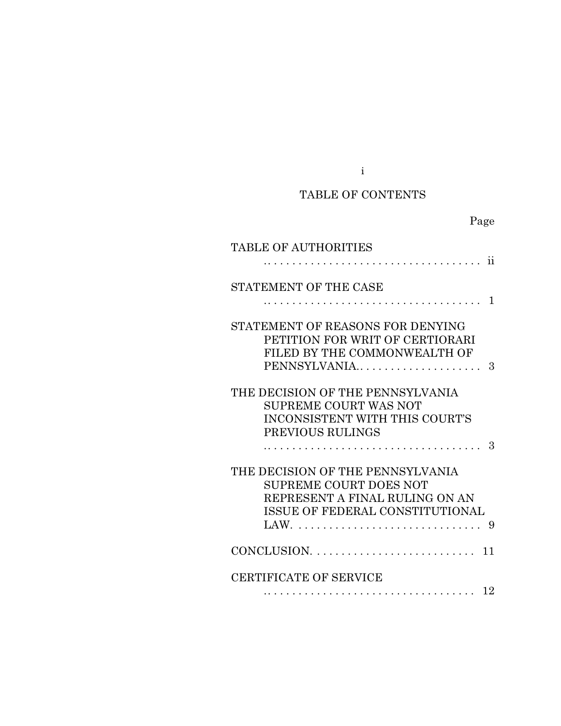# TABLE OF CONTENTS

i

# Page

| TABLE OF AUTHORITIES                                                                                                                   |
|----------------------------------------------------------------------------------------------------------------------------------------|
| . ii                                                                                                                                   |
| STATEMENT OF THE CASE                                                                                                                  |
| . 1                                                                                                                                    |
| STATEMENT OF REASONS FOR DENYING<br>PETITION FOR WRIT OF CERTIORARI<br>FILED BY THE COMMONWEALTH OF<br>PENNSYLVANIA<br>3               |
| THE DECISION OF THE PENNSYLVANIA<br>SUPREME COURT WAS NOT<br>INCONSISTENT WITH THIS COURT'S<br>PREVIOUS RULINGS<br>-3                  |
| THE DECISION OF THE PENNSYLVANIA<br><b>SUPREME COURT DOES NOT</b><br>REPRESENT A FINAL RULING ON AN<br>ISSUE OF FEDERAL CONSTITUTIONAL |
| $CONCLUSION. \ldots \ldots \ldots \ldots \ldots \ldots \ldots$<br>11                                                                   |
| <b>CERTIFICATE OF SERVICE</b><br>12<br>.                                                                                               |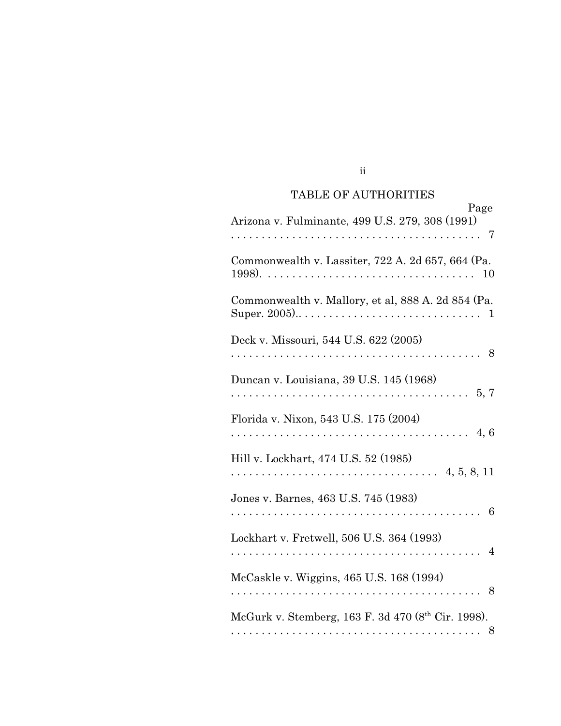# TABLE OF AUTHORITIES

ii

| Page<br>Arizona v. Fulminante, 499 U.S. 279, 308 (1991)                                                                                      |
|----------------------------------------------------------------------------------------------------------------------------------------------|
| Commonwealth v. Lassiter, 722 A. 2d 657, 664 (Pa.<br>10                                                                                      |
| Commonwealth v. Mallory, et al, 888 A. 2d 854 (Pa.<br>Super. 2005) $\dots \dots \dots \dots \dots \dots \dots \dots \dots \dots \dots \dots$ |
| Deck v. Missouri, 544 U.S. 622 (2005)<br>. 8                                                                                                 |
| Duncan v. Louisiana, 39 U.S. 145 (1968)<br>$\ldots 5, 7$<br>.                                                                                |
| Florida v. Nixon, 543 U.S. 175 (2004)<br>4,6                                                                                                 |
| Hill v. Lockhart, 474 U.S. 52 (1985)                                                                                                         |
| Jones v. Barnes, 463 U.S. 745 (1983)<br>6                                                                                                    |
| Lockhart v. Fretwell, 506 U.S. 364 (1993)<br>$\overline{4}$                                                                                  |
| McCaskle v. Wiggins, 465 U.S. 168 (1994)<br>8                                                                                                |
| McGurk v. Stemberg, 163 F. 3d 470 (8 <sup>th</sup> Cir. 1998).<br>8                                                                          |
|                                                                                                                                              |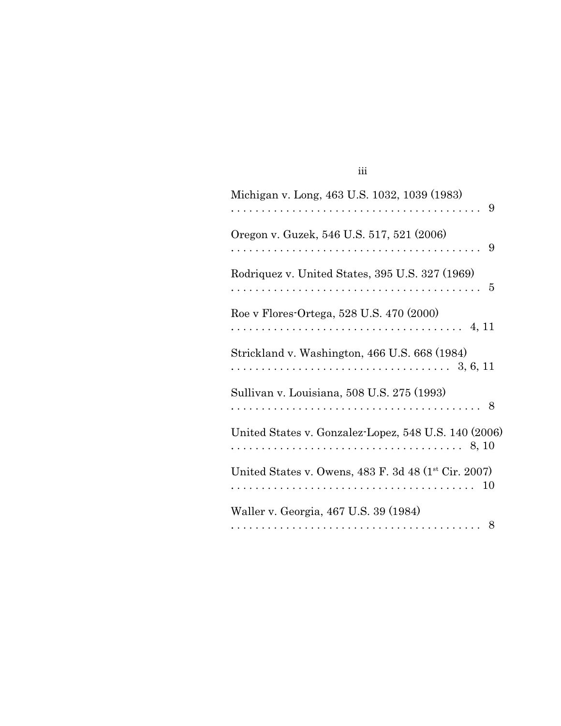| Michigan v. Long, 463 U.S. 1032, 1039 (1983)<br>-9         |
|------------------------------------------------------------|
| Oregon v. Guzek, 546 U.S. 517, 521 (2006)<br>9             |
| Rodriquez v. United States, 395 U.S. 327 (1969)            |
| Roe v Flores-Ortega, 528 U.S. 470 (2000)                   |
| Strickland v. Washington, 466 U.S. 668 (1984)              |
| Sullivan v. Louisiana, 508 U.S. 275 (1993)                 |
| United States v. Gonzalez-Lopez, 548 U.S. 140 (2006)       |
| United States v. Owens, 483 F. 3d 48 (1st Cir. 2007)<br>10 |
| Waller v. Georgia, 467 U.S. 39 (1984)                      |

iii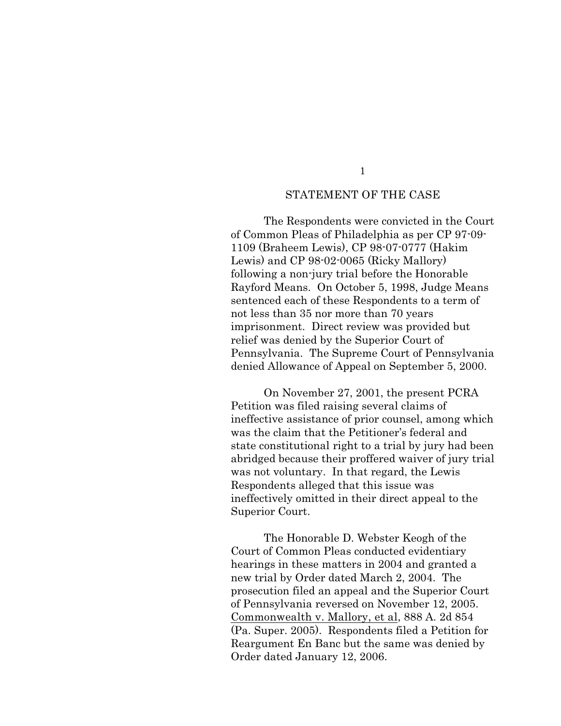#### 1

#### STATEMENT OF THE CASE

The Respondents were convicted in the Court of Common Pleas of Philadelphia as per CP 97-09- 1109 (Braheem Lewis), CP 98-07-0777 (Hakim Lewis) and CP 98-02-0065 (Ricky Mallory) following a non-jury trial before the Honorable Rayford Means. On October 5, 1998, Judge Means sentenced each of these Respondents to a term of not less than 35 nor more than 70 years imprisonment. Direct review was provided but relief was denied by the Superior Court of Pennsylvania. The Supreme Court of Pennsylvania denied Allowance of Appeal on September 5, 2000.

On November 27, 2001, the present PCRA Petition was filed raising several claims of ineffective assistance of prior counsel, among which was the claim that the Petitioner's federal and state constitutional right to a trial by jury had been abridged because their proffered waiver of jury trial was not voluntary. In that regard, the Lewis Respondents alleged that this issue was ineffectively omitted in their direct appeal to the Superior Court.

The Honorable D. Webster Keogh of the Court of Common Pleas conducted evidentiary hearings in these matters in 2004 and granted a new trial by Order dated March 2, 2004. The prosecution filed an appeal and the Superior Court of Pennsylvania reversed on November 12, 2005. Commonwealth v. Mallory, et al, 888 A. 2d 854 (Pa. Super. 2005). Respondents filed a Petition for Reargument En Banc but the same was denied by Order dated January 12, 2006.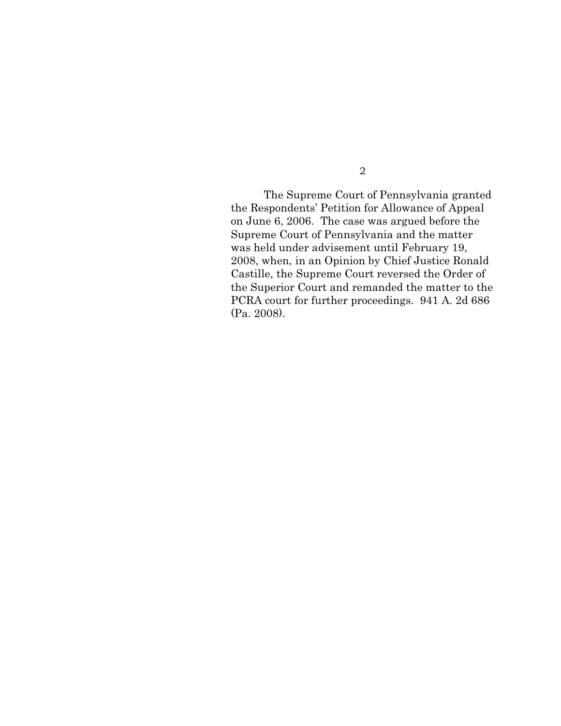The Supreme Court of Pennsylvania granted the Respondents' Petition for Allowance of Appeal on June 6, 2006. The case was argued before the Supreme Court of Pennsylvania and the matter was held under advisement until February 19, 2008, when, in an Opinion by Chief Justice Ronald Castille, the Supreme Court reversed the Order of the Superior Court and remanded the matter to the PCRA court for further proceedings. 941 A. 2d 686 (Pa. 2008).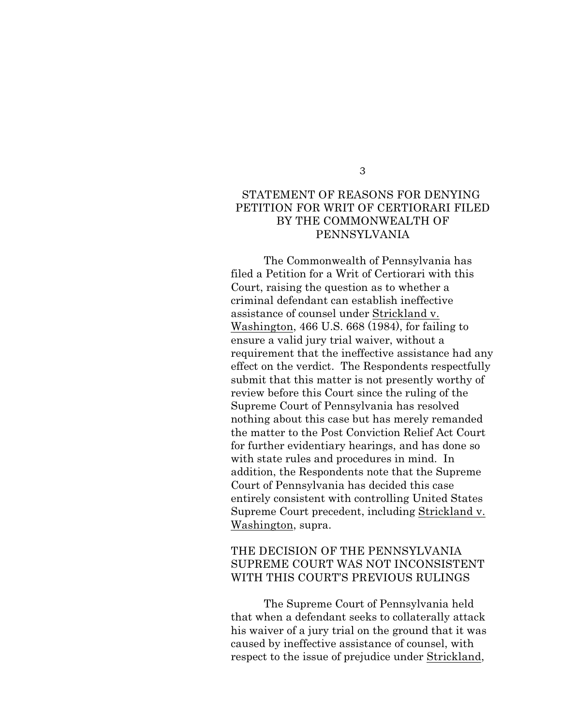#### 3

### STATEMENT OF REASONS FOR DENYING PETITION FOR WRIT OF CERTIORARI FILED BY THE COMMONWEALTH OF PENNSYLVANIA

The Commonwealth of Pennsylvania has filed a Petition for a Writ of Certiorari with this Court, raising the question as to whether a criminal defendant can establish ineffective assistance of counsel under Strickland v. Washington, 466 U.S. 668 (1984), for failing to ensure a valid jury trial waiver, without a requirement that the ineffective assistance had any effect on the verdict. The Respondents respectfully submit that this matter is not presently worthy of review before this Court since the ruling of the Supreme Court of Pennsylvania has resolved nothing about this case but has merely remanded the matter to the Post Conviction Relief Act Court for further evidentiary hearings, and has done so with state rules and procedures in mind. In addition, the Respondents note that the Supreme Court of Pennsylvania has decided this case entirely consistent with controlling United States Supreme Court precedent, including Strickland v. Washington, supra.

### THE DECISION OF THE PENNSYLVANIA SUPREME COURT WAS NOT INCONSISTENT WITH THIS COURT'S PREVIOUS RULINGS

The Supreme Court of Pennsylvania held that when a defendant seeks to collaterally attack his waiver of a jury trial on the ground that it was caused by ineffective assistance of counsel, with respect to the issue of prejudice under Strickland,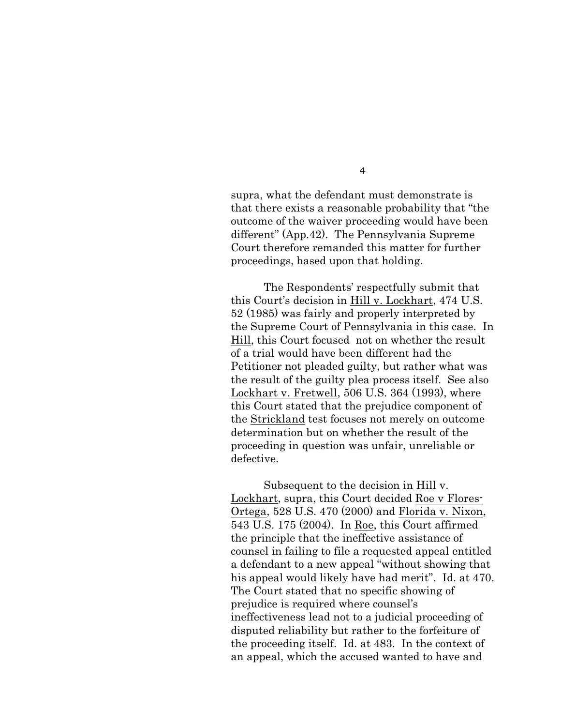supra, what the defendant must demonstrate is that there exists a reasonable probability that "the outcome of the waiver proceeding would have been different" (App.42). The Pennsylvania Supreme Court therefore remanded this matter for further proceedings, based upon that holding.

The Respondents' respectfully submit that this Court's decision in Hill v. Lockhart, 474 U.S. 52 (1985) was fairly and properly interpreted by the Supreme Court of Pennsylvania in this case. In Hill, this Court focused not on whether the result of a trial would have been different had the Petitioner not pleaded guilty, but rather what was the result of the guilty plea process itself. See also Lockhart v. Fretwell, 506 U.S. 364 (1993), where this Court stated that the prejudice component of the Strickland test focuses not merely on outcome determination but on whether the result of the proceeding in question was unfair, unreliable or defective.

Subsequent to the decision in Hill v. Lockhart, supra, this Court decided Roe v Flores-Ortega, 528 U.S. 470 (2000) and Florida v. Nixon, 543 U.S. 175 (2004). In Roe, this Court affirmed the principle that the ineffective assistance of counsel in failing to file a requested appeal entitled a defendant to a new appeal "without showing that his appeal would likely have had merit". Id. at 470. The Court stated that no specific showing of prejudice is required where counsel's ineffectiveness lead not to a judicial proceeding of disputed reliability but rather to the forfeiture of the proceeding itself. Id. at 483. In the context of an appeal, which the accused wanted to have and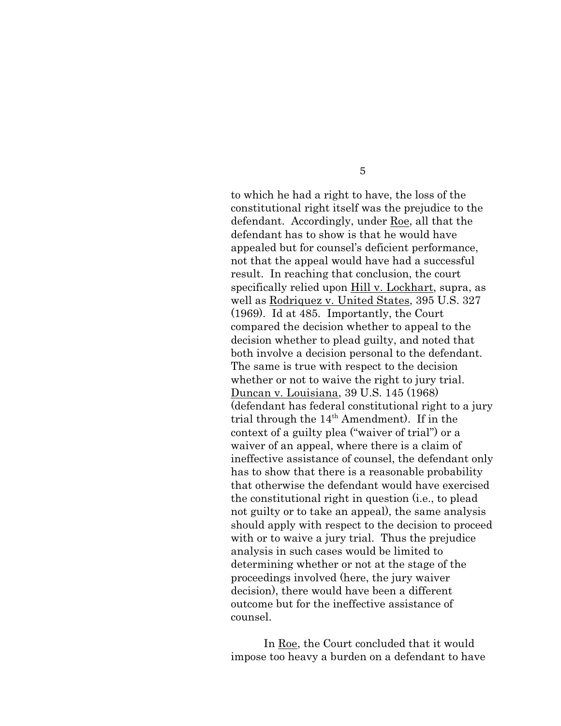to which he had a right to have, the loss of the constitutional right itself was the prejudice to the defendant. Accordingly, under Roe, all that the defendant has to show is that he would have appealed but for counsel's deficient performance, not that the appeal would have had a successful result. In reaching that conclusion, the court specifically relied upon Hill v. Lockhart, supra, as well as Rodriquez v. United States, 395 U.S. 327 (1969). Id at 485. Importantly, the Court compared the decision whether to appeal to the decision whether to plead guilty, and noted that both involve a decision personal to the defendant. The same is true with respect to the decision whether or not to waive the right to jury trial. Duncan v. Louisiana, 39 U.S. 145 (1968) (defendant has federal constitutional right to a jury trial through the  $14<sup>th</sup>$  Amendment). If in the context of a guilty plea ("waiver of trial") or a waiver of an appeal, where there is a claim of ineffective assistance of counsel, the defendant only has to show that there is a reasonable probability that otherwise the defendant would have exercised the constitutional right in question (i.e., to plead not guilty or to take an appeal), the same analysis should apply with respect to the decision to proceed with or to waive a jury trial. Thus the prejudice analysis in such cases would be limited to determining whether or not at the stage of the proceedings involved (here, the jury waiver decision), there would have been a different outcome but for the ineffective assistance of counsel.

In Roe, the Court concluded that it would impose too heavy a burden on a defendant to have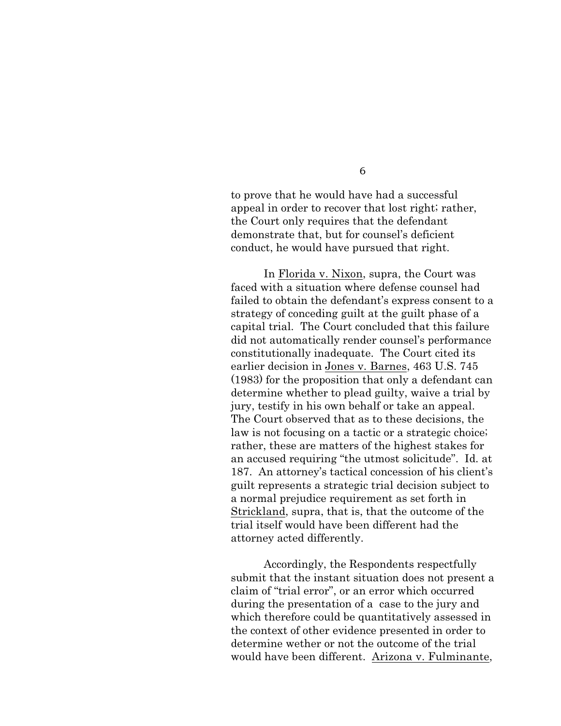to prove that he would have had a successful appeal in order to recover that lost right; rather, the Court only requires that the defendant demonstrate that, but for counsel's deficient conduct, he would have pursued that right.

In Florida v. Nixon, supra, the Court was faced with a situation where defense counsel had failed to obtain the defendant's express consent to a strategy of conceding guilt at the guilt phase of a capital trial. The Court concluded that this failure did not automatically render counsel's performance constitutionally inadequate. The Court cited its earlier decision in Jones v. Barnes, 463 U.S. 745 (1983) for the proposition that only a defendant can determine whether to plead guilty, waive a trial by jury, testify in his own behalf or take an appeal. The Court observed that as to these decisions, the law is not focusing on a tactic or a strategic choice; rather, these are matters of the highest stakes for an accused requiring "the utmost solicitude". Id. at 187. An attorney's tactical concession of his client's guilt represents a strategic trial decision subject to a normal prejudice requirement as set forth in Strickland, supra, that is, that the outcome of the trial itself would have been different had the attorney acted differently.

Accordingly, the Respondents respectfully submit that the instant situation does not present a claim of "trial error", or an error which occurred during the presentation of a case to the jury and which therefore could be quantitatively assessed in the context of other evidence presented in order to determine wether or not the outcome of the trial would have been different. Arizona v. Fulminante,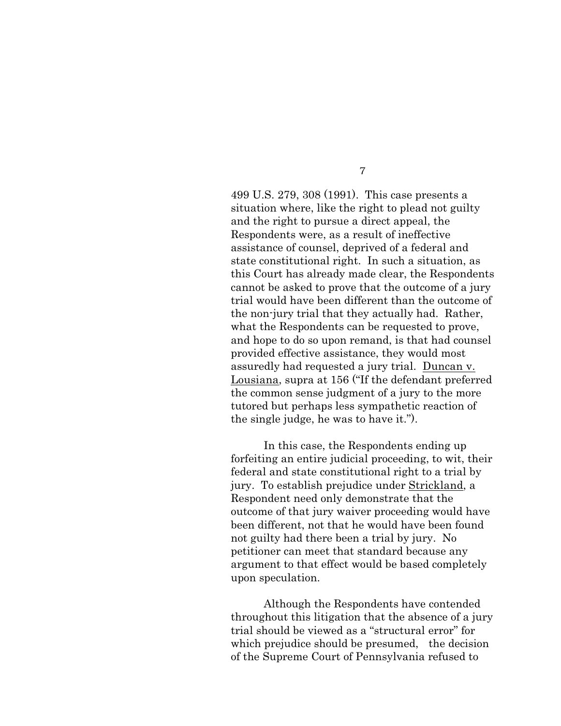499 U.S. 279, 308 (1991). This case presents a situation where, like the right to plead not guilty and the right to pursue a direct appeal, the Respondents were, as a result of ineffective assistance of counsel, deprived of a federal and state constitutional right. In such a situation, as this Court has already made clear, the Respondents cannot be asked to prove that the outcome of a jury trial would have been different than the outcome of the non-jury trial that they actually had. Rather, what the Respondents can be requested to prove, and hope to do so upon remand, is that had counsel provided effective assistance, they would most assuredly had requested a jury trial. Duncan v. Lousiana, supra at 156 ("If the defendant preferred the common sense judgment of a jury to the more tutored but perhaps less sympathetic reaction of the single judge, he was to have it.").

In this case, the Respondents ending up forfeiting an entire judicial proceeding, to wit, their federal and state constitutional right to a trial by jury. To establish prejudice under Strickland, a Respondent need only demonstrate that the outcome of that jury waiver proceeding would have been different, not that he would have been found not guilty had there been a trial by jury. No petitioner can meet that standard because any argument to that effect would be based completely upon speculation.

Although the Respondents have contended throughout this litigation that the absence of a jury trial should be viewed as a "structural error" for which prejudice should be presumed, the decision of the Supreme Court of Pennsylvania refused to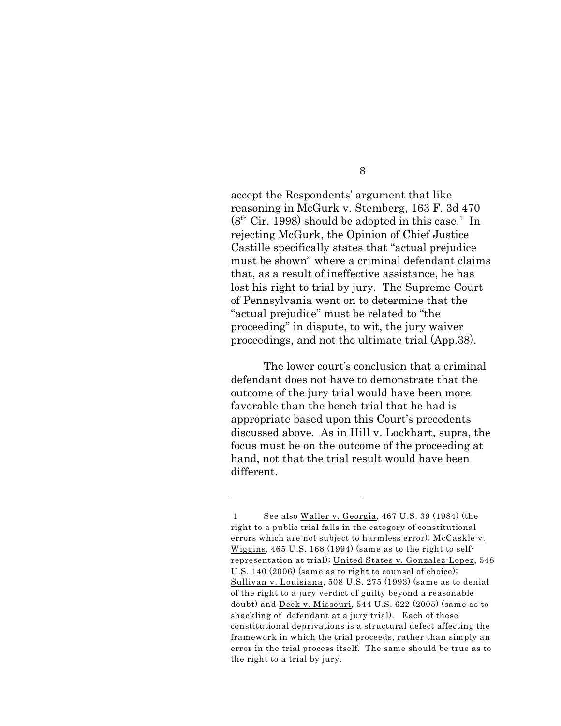accept the Respondents' argument that like reasoning in McGurk v. Stemberg, 163 F. 3d 470  $(8<sup>th</sup> Cir. 1998)$  should be adopted in this case.<sup>1</sup> In rejecting McGurk, the Opinion of Chief Justice Castille specifically states that "actual prejudice must be shown" where a criminal defendant claims that, as a result of ineffective assistance, he has lost his right to trial by jury. The Supreme Court of Pennsylvania went on to determine that the "actual prejudice" must be related to "the proceeding" in dispute, to wit, the jury waiver proceedings, and not the ultimate trial (App.38).

The lower court's conclusion that a criminal defendant does not have to demonstrate that the outcome of the jury trial would have been more favorable than the bench trial that he had is appropriate based upon this Court's precedents discussed above. As in Hill v. Lockhart, supra, the focus must be on the outcome of the proceeding at hand, not that the trial result would have been different.

<sup>1</sup> See also Waller v. Georgia, 467 U.S. 39 (1984) (the right to a public trial falls in the category of constitutional errors which are not subject to harmless error); McCaskle v. Wiggins, 465 U.S. 168 (1994) (same as to the right to selfrepresentation at trial); United States v. Gonzalez-Lopez, 548 U.S. 140 (2006) (same as to right to counsel of choice); Sullivan v. Louisiana, 508 U.S. 275 (1993) (same as to denial of the right to a jury verdict of guilty beyond a reasonable doubt) and Deck v. Missouri, 544 U.S. 622 (2005) (same as to shackling of defendant at a jury trial). Each of these constitutional deprivations is a structural defect affecting the framework in which the trial proceeds, rather than simply an error in the trial process itself. The same should be true as to the right to a trial by jury.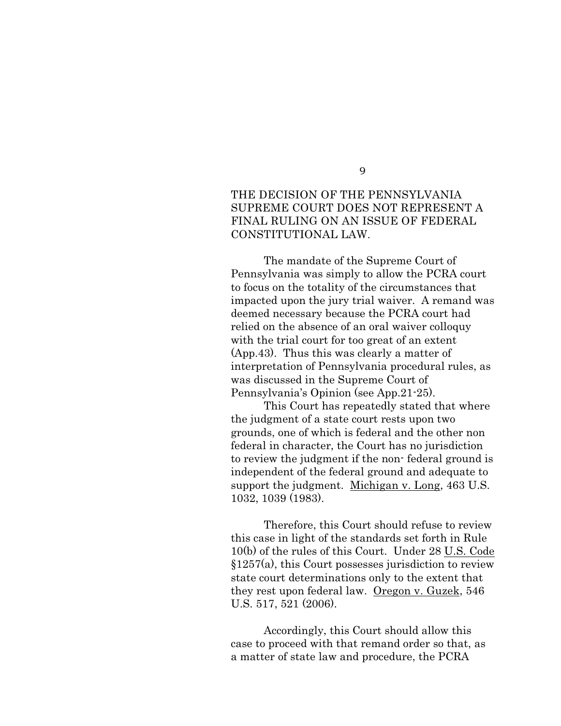## THE DECISION OF THE PENNSYLVANIA SUPREME COURT DOES NOT REPRESENT A FINAL RULING ON AN ISSUE OF FEDERAL

CONSTITUTIONAL LAW.

The mandate of the Supreme Court of Pennsylvania was simply to allow the PCRA court to focus on the totality of the circumstances that impacted upon the jury trial waiver. A remand was deemed necessary because the PCRA court had relied on the absence of an oral waiver colloquy with the trial court for too great of an extent (App.43). Thus this was clearly a matter of interpretation of Pennsylvania procedural rules, as was discussed in the Supreme Court of Pennsylvania's Opinion (see App.21-25).

This Court has repeatedly stated that where the judgment of a state court rests upon two grounds, one of which is federal and the other non federal in character, the Court has no jurisdiction to review the judgment if the non- federal ground is independent of the federal ground and adequate to support the judgment. Michigan v. Long, 463 U.S. 1032, 1039 (1983).

Therefore, this Court should refuse to review this case in light of the standards set forth in Rule 10(b) of the rules of this Court. Under 28 U.S. Code §1257(a), this Court possesses jurisdiction to review state court determinations only to the extent that they rest upon federal law. Oregon v. Guzek, 546 U.S. 517, 521 (2006).

Accordingly, this Court should allow this case to proceed with that remand order so that, as a matter of state law and procedure, the PCRA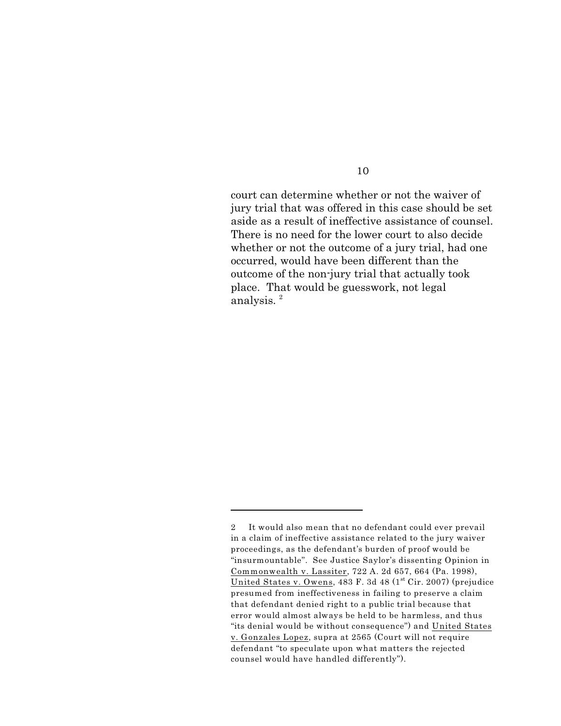court can determine whether or not the waiver of jury trial that was offered in this case should be set aside as a result of ineffective assistance of counsel. There is no need for the lower court to also decide whether or not the outcome of a jury trial, had one occurred, would have been different than the outcome of the non-jury trial that actually took place. That would be guesswork, not legal analysis. 2

<sup>2</sup> It would also mean that no defendant could ever prevail in a claim of ineffective assistance related to the jury waiver proceedings, as the defendant's burden of proof would be "insurmountable". See Justice Saylor's dissenting Opinion in Commonwealth v. Lassiter, 722 A. 2d 657, 664 (Pa. 1998), United States v. Owens, 483 F. 3d 48 ( $1<sup>st</sup> Cir.$  2007) (prejudice presumed from ineffectiveness in failing to preserve a claim that defendant denied right to a public trial because that error would almost always be held to be harmless, and thus "its denial would be without consequence") and United States v. Gonzales Lopez, supra at 2565 (Court will not require defendant "to speculate upon what matters the rejected counsel would have handled differently").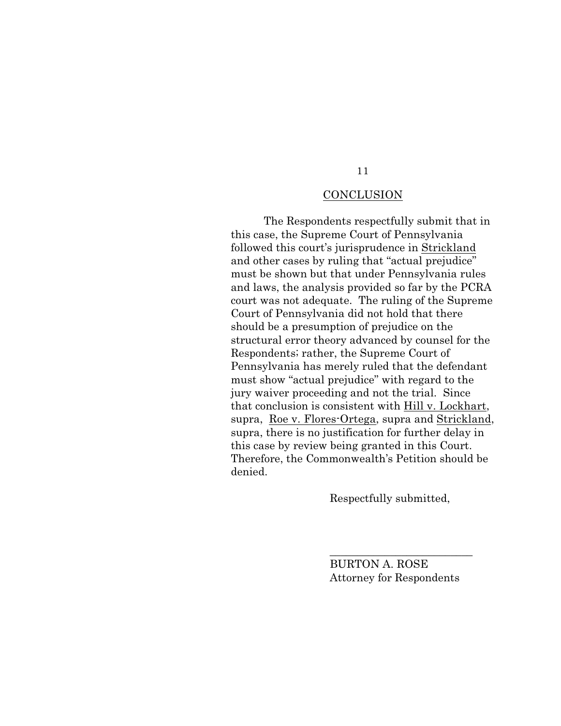# **CONCLUSION**

The Respondents respectfully submit that in this case, the Supreme Court of Pennsylvania followed this court's jurisprudence in Strickland and other cases by ruling that "actual prejudice" must be shown but that under Pennsylvania rules and laws, the analysis provided so far by the PCRA court was not adequate. The ruling of the Supreme Court of Pennsylvania did not hold that there should be a presumption of prejudice on the structural error theory advanced by counsel for the Respondents; rather, the Supreme Court of Pennsylvania has merely ruled that the defendant must show "actual prejudice" with regard to the jury waiver proceeding and not the trial. Since that conclusion is consistent with Hill v. Lockhart, supra, Roe v. Flores-Ortega, supra and Strickland, supra, there is no justification for further delay in this case by review being granted in this Court. Therefore, the Commonwealth's Petition should be denied.

Respectfully submitted,

BURTON A. ROSE Attorney for Respondents

 $\overline{\phantom{a}}$  , where  $\overline{\phantom{a}}$  , where  $\overline{\phantom{a}}$  , where  $\overline{\phantom{a}}$